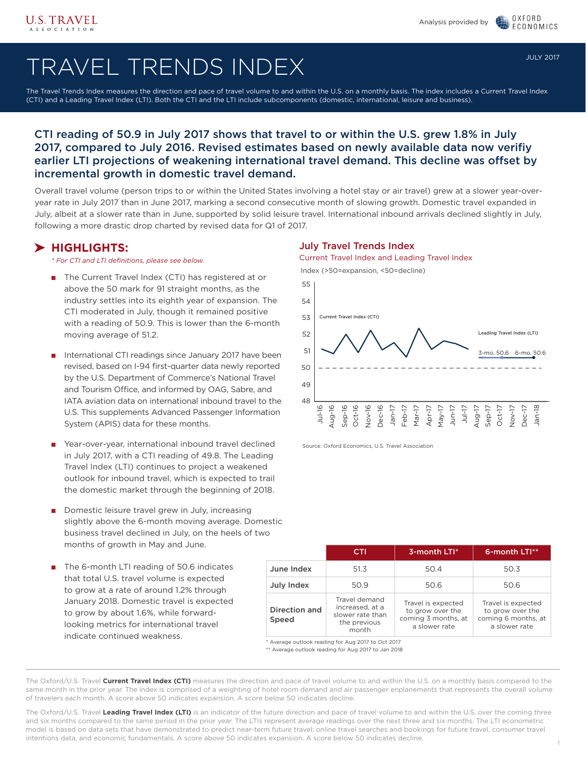OXFORD

**FCONOMICS** 

# TRAVEL TRENDS INDEX

The Travel Trends Index measures the direction and pace of travel volume to and within the U.S. on a monthly basis. The index includes a Current Travel Index (CTI) and a Leading Travel Index (LTI). Both the CTI and the LTI include subcomponents (domestic, international, leisure and business).

### CTI reading of 50.9 in July 2017 shows that travel to or within the U.S. grew 1.8% in July 2017, compared to July 2016. Revised estimates based on newly available data now verifiy earlier LTI projections of weakening international travel demand. This decline was offset by incremental growth in domestic travel demand.

Overall travel volume (person trips to or within the United States involving a hotel stay or air travel) grew at a slower year-overyear rate in July 2017 than in June 2017, marking a second consecutive month of slowing growth. Domestic travel expanded in July, albeit at a slower rate than in June, supported by solid leisure travel. International inbound arrivals declined slightly in July, following a more drastic drop charted by revised data for Q1 of 2017.

### **HIGHLIGHTS:**

*\* For CTI and LTI definitions, please see below.*

- The Current Travel Index (CTI) has registered at or above the 50 mark for 91 straight months, as the industry settles into its eighth year of expansion. The CTI moderated in July, though it remained positive with a reading of 50.9. This is lower than the 6-month moving average of 51.2.
- International CTI readings since January 2017 have been revised, based on I-94 first-quarter data newly reported by the U.S. Department of Commerce's National Travel and Tourism Office, and informed by OAG, Sabre, and IATA aviation data on international inbound travel to the U.S. This supplements Advanced Passenger Information System (APIS) data for these months.
- Year-over-year, international inbound travel declined in July 2017, with a CTI reading of 49.8. The Leading Travel Index (LTI) continues to project a weakened outlook for inbound travel, which is expected to trail the domestic market through the beginning of 2018.
- Domestic leisure travel grew in July, increasing slightly above the 6-month moving average. Domestic business travel declined in July, on the heels of two months of growth in May and June.
- The 6-month LTI reading of 50.6 indicates that total U.S. travel volume is expected to grow at a rate of around 1.2% through January 2018. Domestic travel is expected to grow by about 1.6%, while forwardlooking metrics for international travel indicate continued weakness.

### July Travel Trends Index

Current Travel Index and Leading Travel Index

Index (>50=expansion, <50=decline)



Source: Oxford Economics, U.S. Travel Association

|                        | CTI                                                                           | 3-month LTI*                                                                   | 6-month LTI**                                                                  |  |  |
|------------------------|-------------------------------------------------------------------------------|--------------------------------------------------------------------------------|--------------------------------------------------------------------------------|--|--|
| June Index             | 51.3                                                                          | 50.4                                                                           | 50.3                                                                           |  |  |
| July Index             | 50.9                                                                          | 50.6                                                                           | 50.6                                                                           |  |  |
| Direction and<br>Speed | Travel demand<br>increased, at a<br>slower rate than<br>the previous<br>month | Travel is expected<br>to grow over the<br>coming 3 months, at<br>a slower rate | Travel is expected<br>to grow over the<br>coming 6 months, at<br>a slower rate |  |  |

Average outlook reading for Aug 2017 to Oct 2017

\*\* Average outlook reading for Aug 2017 to Jan 2018

The Oxford/U.S. Travel **Current Travel Index (CTI)** measures the direction and pace of travel volume to and within the U.S. on a monthly basis compared to the same month in the prior year. The index is comprised of a weighting of hotel room demand and air passenger enplanements that represents the overall volume of travelers each month. A score above 50 indicates expansion. A score below 50 indicates decline.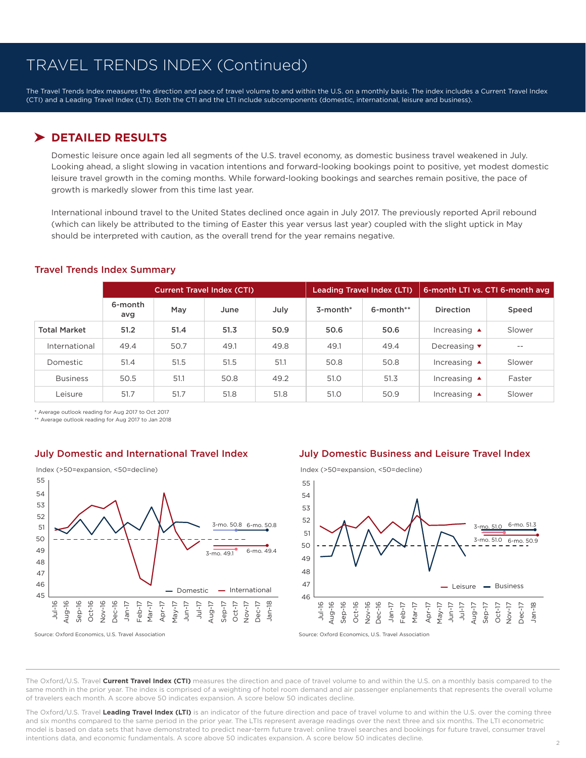The Travel Trends Index measures the direction and pace of travel volume to and within the U.S. on a monthly basis. The index includes a Current Travel Index (CTI) and a Leading Travel Index (LTI). Both the CTI and the LTI include subcomponents (domestic, international, leisure and business).

### **DETAILED RESULTS**

Domestic leisure once again led all segments of the U.S. travel economy, as domestic business travel weakened in July. Looking ahead, a slight slowing in vacation intentions and forward-looking bookings point to positive, yet modest domestic leisure travel growth in the coming months. While forward-looking bookings and searches remain positive, the pace of growth is markedly slower from this time last year.

International inbound travel to the United States declined once again in July 2017. The previously reported April rebound (which can likely be attributed to the timing of Easter this year versus last year) coupled with the slight uptick in May should be interpreted with caution, as the overall trend for the year remains negative.

|                     | <b>Current Travel Index (CTI)</b> |      |      |      |                | <b>Leading Travel Index (LTI)</b> | 6-month LTI vs. CTI 6-month avg |        |  |
|---------------------|-----------------------------------|------|------|------|----------------|-----------------------------------|---------------------------------|--------|--|
|                     | 6-month<br>avg                    | May  | June | July | $3$ -month $*$ | 6-month**                         | <b>Direction</b>                | Speed  |  |
| <b>Total Market</b> | 51.2                              | 51.4 | 51.3 | 50.9 | 50.6           | 50.6                              | Increasing $\triangle$          | Slower |  |
| International       | 49.4                              | 50.7 | 49.1 | 49.8 | 49.1           | 49.4                              | Decreasing $\blacktriangledown$ | $- -$  |  |
| Domestic            | 51.4                              | 51.5 | 51.5 | 51.1 | 50.8           | 50.8                              | Increasing $\triangle$          | Slower |  |
| <b>Business</b>     | 50.5                              | 51.1 | 50.8 | 49.2 | 51.0           | 51.3                              | Increasing $\triangle$          | Faster |  |
| Leisure             | 51.7                              | 51.7 | 51.8 | 51.8 | 51.0           | 50.9                              | Increasing $\triangle$          | Slower |  |

### Travel Trends Index Summary

\* Average outlook reading for Aug 2017 to Oct 2017

\*\* Average outlook reading for Aug 2017 to Jan 2018



#### Source: Oxford Economics, U.S. Travel Association Source: Oxford Economics, U.S. Travel Association Source: Oxford Economics, U.S. Travel Association

### July Domestic and International Travel Index July Domestic Business and Leisure Travel Index

48 47 46 49 50 51 52 53 54 55 Aug-16 Sep-16 Oct-16 Nov-16 Dec-16 Jan-17 Feb-17 Mar-17 Apr-17 May-17 Jun-17 Jul-16 Index (>50=expansion, <50=decline) Leisure  $-$  Business 3-mo. 51.0 6-mo. 50.9 3-mo. 51.0 Jul-17 Aug-17 Sep-17 Oct-17 Nov-17 Dec-17 Jan-18

The Oxford/U.S. Travel **Current Travel Index (CTI)** measures the direction and pace of travel volume to and within the U.S. on a monthly basis compared to the same month in the prior year. The index is comprised of a weighting of hotel room demand and air passenger enplanements that represents the overall volume of travelers each month. A score above 50 indicates expansion. A score below 50 indicates decline.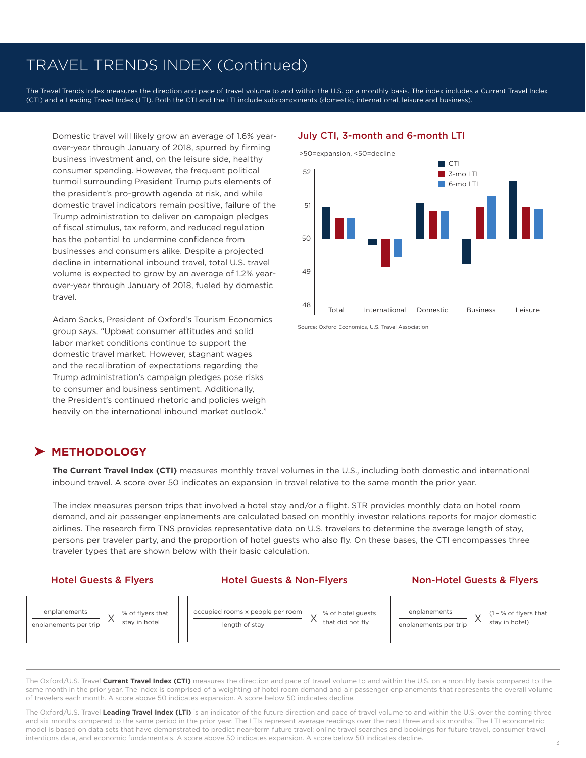The Travel Trends Index measures the direction and pace of travel volume to and within the U.S. on a monthly basis. The index includes a Current Travel Index (CTI) and a Leading Travel Index (LTI). Both the CTI and the LTI include subcomponents (domestic, international, leisure and business).

Domestic travel will likely grow an average of 1.6% yearover-year through January of 2018, spurred by firming business investment and, on the leisure side, healthy consumer spending. However, the frequent political turmoil surrounding President Trump puts elements of the president's pro-growth agenda at risk, and while domestic travel indicators remain positive, failure of the Trump administration to deliver on campaign pledges of fiscal stimulus, tax reform, and reduced regulation has the potential to undermine confidence from businesses and consumers alike. Despite a projected decline in international inbound travel, total U.S. travel volume is expected to grow by an average of 1.2% yearover-year through January of 2018, fueled by domestic travel.

Adam Sacks, President of Oxford's Tourism Economics group says, "Upbeat consumer attitudes and solid labor market conditions continue to support the domestic travel market. However, stagnant wages and the recalibration of expectations regarding the Trump administration's campaign pledges pose risks to consumer and business sentiment. Additionally, the President's continued rhetoric and policies weigh heavily on the international inbound market outlook."

### July CTI, 3-month and 6-month LTI



Source: Oxford Economics, U.S. Travel Association

### **METHODOLOGY**

**The Current Travel Index (CTI)** measures monthly travel volumes in the U.S., including both domestic and international inbound travel. A score over 50 indicates an expansion in travel relative to the same month the prior year.

The index measures person trips that involved a hotel stay and/or a flight. STR provides monthly data on hotel room demand, and air passenger enplanements are calculated based on monthly investor relations reports for major domestic airlines. The research firm TNS provides representative data on U.S. travelers to determine the average length of stay, persons per traveler party, and the proportion of hotel guests who also fly. On these bases, the CTI encompasses three traveler types that are shown below with their basic calculation.

### Hotel Guests & Flyers **Hotel Guests & Non-Flyers** Non-Hotel Guests & Flyers



The Oxford/U.S. Travel **Current Travel Index (CTI)** measures the direction and pace of travel volume to and within the U.S. on a monthly basis compared to the same month in the prior year. The index is comprised of a weighting of hotel room demand and air passenger enplanements that represents the overall volume of travelers each month. A score above 50 indicates expansion. A score below 50 indicates decline.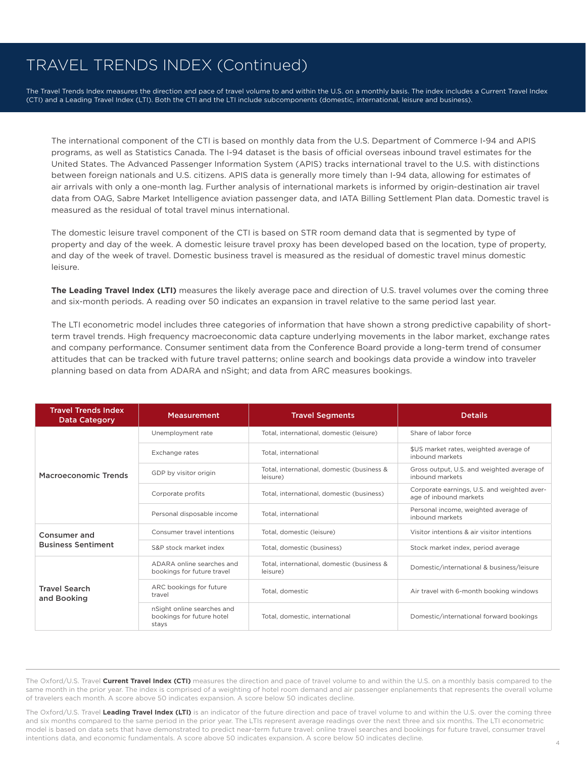The Travel Trends Index measures the direction and pace of travel volume to and within the U.S. on a monthly basis. The index includes a Current Travel Index (CTI) and a Leading Travel Index (LTI). Both the CTI and the LTI include subcomponents (domestic, international, leisure and business).

The international component of the CTI is based on monthly data from the U.S. Department of Commerce I-94 and APIS programs, as well as Statistics Canada. The I-94 dataset is the basis of official overseas inbound travel estimates for the United States. The Advanced Passenger Information System (APIS) tracks international travel to the U.S. with distinctions between foreign nationals and U.S. citizens. APIS data is generally more timely than I-94 data, allowing for estimates of air arrivals with only a one-month lag. Further analysis of international markets is informed by origin-destination air travel data from OAG, Sabre Market Intelligence aviation passenger data, and IATA Billing Settlement Plan data. Domestic travel is measured as the residual of total travel minus international.

The domestic leisure travel component of the CTI is based on STR room demand data that is segmented by type of property and day of the week. A domestic leisure travel proxy has been developed based on the location, type of property, and day of the week of travel. Domestic business travel is measured as the residual of domestic travel minus domestic leisure.

**The Leading Travel Index (LTI)** measures the likely average pace and direction of U.S. travel volumes over the coming three and six-month periods. A reading over 50 indicates an expansion in travel relative to the same period last year.

The LTI econometric model includes three categories of information that have shown a strong predictive capability of shortterm travel trends. High frequency macroeconomic data capture underlying movements in the labor market, exchange rates and company performance. Consumer sentiment data from the Conference Board provide a long-term trend of consumer attitudes that can be tracked with future travel patterns; online search and bookings data provide a window into traveler planning based on data from ADARA and nSight; and data from ARC measures bookings.

| <b>Travel Trends Index</b><br><b>Data Category</b> | <b>Measurement</b>                                               | <b>Travel Segments</b>                                 | <b>Details</b>                                                        |  |  |
|----------------------------------------------------|------------------------------------------------------------------|--------------------------------------------------------|-----------------------------------------------------------------------|--|--|
| Macroeconomic Trends                               | Unemployment rate                                                | Total, international, domestic (leisure)               | Share of labor force                                                  |  |  |
|                                                    | Exchange rates                                                   | Total, international                                   | \$US market rates, weighted average of<br>inbound markets             |  |  |
|                                                    | GDP by visitor origin                                            | Total, international, domestic (business &<br>leisure) | Gross output, U.S. and weighted average of<br>inbound markets         |  |  |
|                                                    | Corporate profits                                                | Total, international, domestic (business)              | Corporate earnings, U.S. and weighted aver-<br>age of inbound markets |  |  |
|                                                    | Personal disposable income                                       | Total, international                                   | Personal income, weighted average of<br>inbound markets               |  |  |
| Consumer and                                       | Consumer travel intentions                                       | Total, domestic (leisure)                              | Visitor intentions & air visitor intentions                           |  |  |
| <b>Business Sentiment</b>                          | S&P stock market index                                           | Total, domestic (business)                             | Stock market index, period average                                    |  |  |
| <b>Travel Search</b><br>and Booking                | ADARA online searches and<br>bookings for future travel          | Total, international, domestic (business &<br>leisure) | Domestic/international & business/leisure                             |  |  |
|                                                    | ARC bookings for future<br>travel                                | Total, domestic                                        | Air travel with 6-month booking windows                               |  |  |
|                                                    | nSight online searches and<br>bookings for future hotel<br>stays | Total, domestic, international                         | Domestic/international forward bookings                               |  |  |

The Oxford/U.S. Travel **Current Travel Index (CTI)** measures the direction and pace of travel volume to and within the U.S. on a monthly basis compared to the same month in the prior year. The index is comprised of a weighting of hotel room demand and air passenger enplanements that represents the overall volume of travelers each month. A score above 50 indicates expansion. A score below 50 indicates decline.